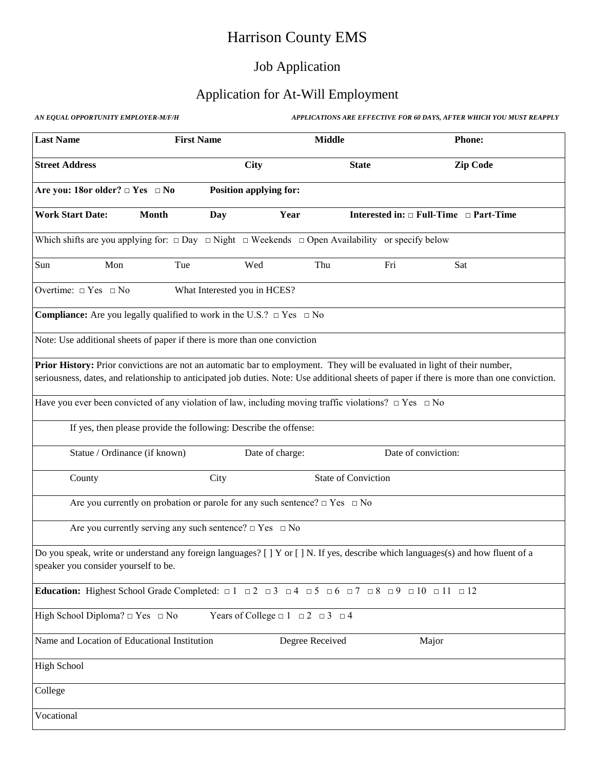# Harrison County EMS

## Job Application

## Application for At-Will Employment

| AN EQUAL OPPORTUNITY EMPLOYER-M/F/H |  |
|-------------------------------------|--|
|-------------------------------------|--|

**AN EQUAL APPLICATIONS ARE EFFECTIVE FOR 60 DAYS, AFTER WHICH YOU MUST REAPPLY** 

| <b>Last Name</b>                                                                                                                                                 | <b>First Name</b>                                                                    |                                                      | <b>Middle</b>              | <b>Phone:</b>                                                                                                                              |
|------------------------------------------------------------------------------------------------------------------------------------------------------------------|--------------------------------------------------------------------------------------|------------------------------------------------------|----------------------------|--------------------------------------------------------------------------------------------------------------------------------------------|
| <b>Street Address</b>                                                                                                                                            |                                                                                      | <b>City</b>                                          | <b>State</b>               | <b>Zip Code</b>                                                                                                                            |
| Are you: 18or older? $\Box$ Yes $\Box$ No                                                                                                                        |                                                                                      | <b>Position applying for:</b>                        |                            |                                                                                                                                            |
| <b>Work Start Date:</b>                                                                                                                                          | <b>Month</b><br>Day                                                                  | Year                                                 |                            | Interested in: $\Box$ Full-Time $\Box$ Part-Time                                                                                           |
| Which shifts are you applying for: $\Box$ Day $\Box$ Night $\Box$ Weekends $\Box$ Open Availability or specify below                                             |                                                                                      |                                                      |                            |                                                                                                                                            |
| Sun<br>Mon                                                                                                                                                       | Tue                                                                                  | Wed                                                  | Thu<br>Fri                 | Sat                                                                                                                                        |
| Overtime: $\Box$ Yes $\Box$ No                                                                                                                                   |                                                                                      | What Interested you in HCES?                         |                            |                                                                                                                                            |
| <b>Compliance:</b> Are you legally qualified to work in the U.S.? $\Box$ Yes $\Box$ No                                                                           |                                                                                      |                                                      |                            |                                                                                                                                            |
| Note: Use additional sheets of paper if there is more than one conviction                                                                                        |                                                                                      |                                                      |                            |                                                                                                                                            |
| <b>Prior History:</b> Prior convictions are not an automatic bar to employment. They will be evaluated in light of their number,                                 |                                                                                      |                                                      |                            | seriousness, dates, and relationship to anticipated job duties. Note: Use additional sheets of paper if there is more than one conviction. |
| Have you ever been convicted of any violation of law, including moving traffic violations? $\Box$ Yes $\Box$ No                                                  |                                                                                      |                                                      |                            |                                                                                                                                            |
|                                                                                                                                                                  | If yes, then please provide the following: Describe the offense:                     |                                                      |                            |                                                                                                                                            |
| Statue / Ordinance (if known)                                                                                                                                    |                                                                                      | Date of charge:                                      |                            | Date of conviction:                                                                                                                        |
| County                                                                                                                                                           | City                                                                                 |                                                      | <b>State of Conviction</b> |                                                                                                                                            |
|                                                                                                                                                                  | Are you currently on probation or parole for any such sentence? $\Box$ Yes $\Box$ No |                                                      |                            |                                                                                                                                            |
|                                                                                                                                                                  | Are you currently serving any such sentence? $\Box$ Yes $\Box$ No                    |                                                      |                            |                                                                                                                                            |
| speaker you consider yourself to be.                                                                                                                             |                                                                                      |                                                      |                            | Do you speak, write or understand any foreign languages? [ ] Y or [ ] N. If yes, describe which languages(s) and how fluent of a           |
| <b>Education:</b> Highest School Grade Completed: $\Box$ 1 $\Box$ 2 $\Box$ 3 $\Box$ 4 $\Box$ 5 $\Box$ 6 $\Box$ 7 $\Box$ 8 $\Box$ 9 $\Box$ 10 $\Box$ 11 $\Box$ 12 |                                                                                      |                                                      |                            |                                                                                                                                            |
| High School Diploma? $\Box$ Yes $\Box$ No                                                                                                                        |                                                                                      | Years of College $\Box$ 1 $\Box$ 2 $\Box$ 3 $\Box$ 4 |                            |                                                                                                                                            |
| Name and Location of Educational Institution                                                                                                                     |                                                                                      | Degree Received                                      |                            | Major                                                                                                                                      |
| <b>High School</b>                                                                                                                                               |                                                                                      |                                                      |                            |                                                                                                                                            |
| College                                                                                                                                                          |                                                                                      |                                                      |                            |                                                                                                                                            |
| Vocational                                                                                                                                                       |                                                                                      |                                                      |                            |                                                                                                                                            |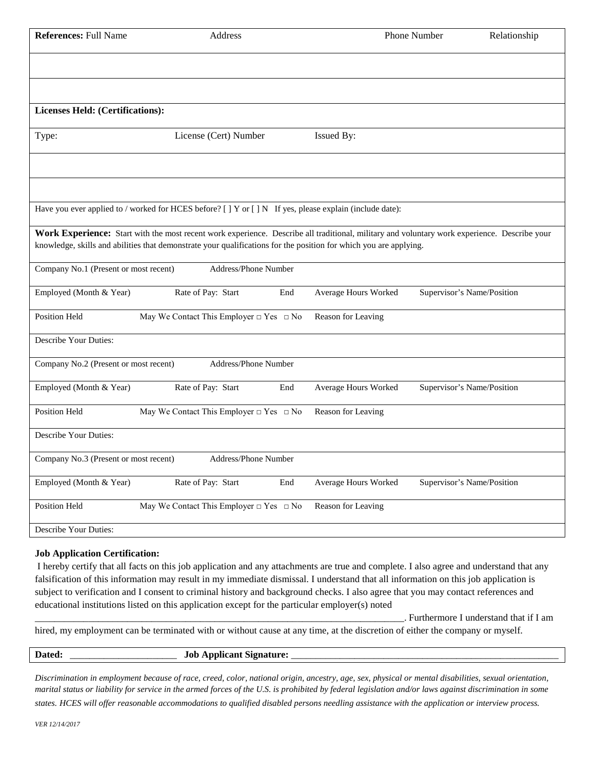| <b>References: Full Name</b>            | Address                                                                                                                                                                                                                                                           |     |                      | Phone Number               | Relationship |
|-----------------------------------------|-------------------------------------------------------------------------------------------------------------------------------------------------------------------------------------------------------------------------------------------------------------------|-----|----------------------|----------------------------|--------------|
|                                         |                                                                                                                                                                                                                                                                   |     |                      |                            |              |
| <b>Licenses Held: (Certifications):</b> |                                                                                                                                                                                                                                                                   |     |                      |                            |              |
| Type:                                   | License (Cert) Number                                                                                                                                                                                                                                             |     | Issued By:           |                            |              |
|                                         |                                                                                                                                                                                                                                                                   |     |                      |                            |              |
|                                         | Have you ever applied to / worked for HCES before? [ ] Y or [ ] N If yes, please explain (include date):                                                                                                                                                          |     |                      |                            |              |
|                                         | Work Experience: Start with the most recent work experience. Describe all traditional, military and voluntary work experience. Describe your<br>knowledge, skills and abilities that demonstrate your qualifications for the position for which you are applying. |     |                      |                            |              |
| Company No.1 (Present or most recent)   | Address/Phone Number                                                                                                                                                                                                                                              |     |                      |                            |              |
| Employed (Month & Year)                 | Rate of Pay: Start                                                                                                                                                                                                                                                | End | Average Hours Worked | Supervisor's Name/Position |              |
| Position Held                           | May We Contact This Employer $\Box$ Yes $\Box$ No                                                                                                                                                                                                                 |     | Reason for Leaving   |                            |              |
| Describe Your Duties:                   |                                                                                                                                                                                                                                                                   |     |                      |                            |              |
| Company No.2 (Present or most recent)   | Address/Phone Number                                                                                                                                                                                                                                              |     |                      |                            |              |
| Employed (Month & Year)                 | Rate of Pay: Start                                                                                                                                                                                                                                                | End | Average Hours Worked | Supervisor's Name/Position |              |
| <b>Position Held</b>                    | May We Contact This Employer $\Box$ Yes $\Box$ No                                                                                                                                                                                                                 |     | Reason for Leaving   |                            |              |
| Describe Your Duties:                   |                                                                                                                                                                                                                                                                   |     |                      |                            |              |
| Company No.3 (Present or most recent)   | Address/Phone Number                                                                                                                                                                                                                                              |     |                      |                            |              |
| Employed (Month & Year)                 | Rate of Pay: Start                                                                                                                                                                                                                                                | End | Average Hours Worked | Supervisor's Name/Position |              |
| Position Held                           | May We Contact This Employer $\Box$ Yes $\Box$ No                                                                                                                                                                                                                 |     | Reason for Leaving   |                            |              |
| Describe Your Duties:                   |                                                                                                                                                                                                                                                                   |     |                      |                            |              |

#### **Job Application Certification:**

I hereby certify that all facts on this job application and any attachments are true and complete. I also agree and understand that any falsification of this information may result in my immediate dismissal. I understand that all information on this job application is subject to verification and I consent to criminal history and background checks. I also agree that you may contact references and educational institutions listed on this application except for the particular employer(s) noted

\_\_\_\_\_\_\_\_\_\_\_\_\_\_\_\_\_\_\_\_\_\_\_\_\_\_\_\_\_\_\_\_\_\_\_\_\_\_\_\_\_\_\_\_\_\_\_\_\_\_\_\_\_\_\_\_\_\_\_\_\_\_\_\_\_\_\_\_\_\_\_\_\_\_\_\_. Furthermore I understand that if I am

hired, my employment can be terminated with or without cause at any time, at the discretion of either the company or myself.

| Date.<br>lał<br>n.<br>- 135<br>________________ |  |
|-------------------------------------------------|--|
|-------------------------------------------------|--|

*Discrimination in employment because of race, creed, color, national origin, ancestry, age, sex, physical or mental disabilities, sexual orientation, marital status or liability for service in the armed forces of the U.S. is prohibited by federal legislation and/or laws against discrimination in some* 

*states. HCES will offer reasonable accommodations to qualified disabled persons needling assistance with the application or interview process.*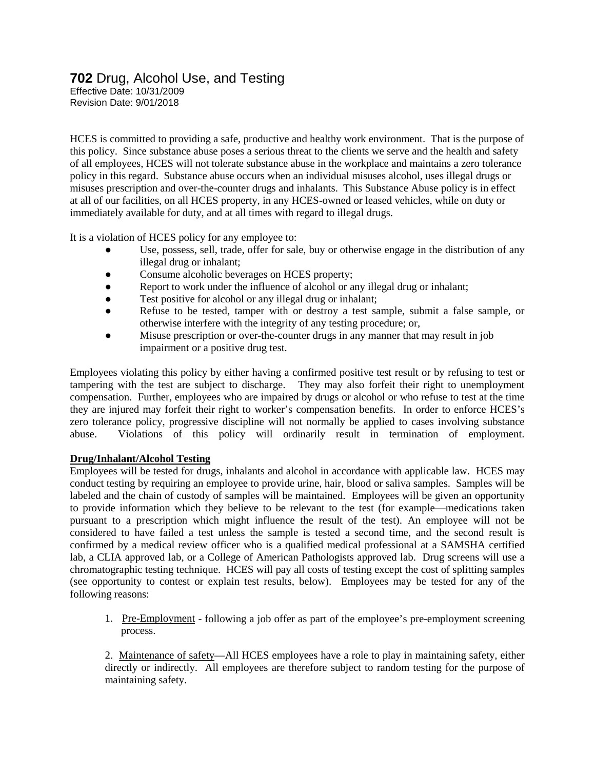## **702** Drug, Alcohol Use, and Testing

Effective Date: 10/31/2009 Revision Date: 9/01/2018

HCES is committed to providing a safe, productive and healthy work environment. That is the purpose of this policy. Since substance abuse poses a serious threat to the clients we serve and the health and safety of all employees, HCES will not tolerate substance abuse in the workplace and maintains a zero tolerance policy in this regard. Substance abuse occurs when an individual misuses alcohol, uses illegal drugs or misuses prescription and over-the-counter drugs and inhalants. This Substance Abuse policy is in effect at all of our facilities, on all HCES property, in any HCES-owned or leased vehicles, while on duty or immediately available for duty, and at all times with regard to illegal drugs.

It is a violation of HCES policy for any employee to:

- Use, possess, sell, trade, offer for sale, buy or otherwise engage in the distribution of any illegal drug or inhalant;
- Consume alcoholic beverages on HCES property;
- Report to work under the influence of alcohol or any illegal drug or inhalant;
- Test positive for alcohol or any illegal drug or inhalant;
- Refuse to be tested, tamper with or destroy a test sample, submit a false sample, or otherwise interfere with the integrity of any testing procedure; or,
- Misuse prescription or over-the-counter drugs in any manner that may result in job impairment or a positive drug test.

Employees violating this policy by either having a confirmed positive test result or by refusing to test or tampering with the test are subject to discharge. They may also forfeit their right to unemployment compensation. Further, employees who are impaired by drugs or alcohol or who refuse to test at the time they are injured may forfeit their right to worker's compensation benefits. In order to enforce HCES's zero tolerance policy, progressive discipline will not normally be applied to cases involving substance abuse. Violations of this policy will ordinarily result in termination of employment.

### **Drug/Inhalant/Alcohol Testing**

Employees will be tested for drugs, inhalants and alcohol in accordance with applicable law. HCES may conduct testing by requiring an employee to provide urine, hair, blood or saliva samples. Samples will be labeled and the chain of custody of samples will be maintained. Employees will be given an opportunity to provide information which they believe to be relevant to the test (for example—medications taken pursuant to a prescription which might influence the result of the test). An employee will not be considered to have failed a test unless the sample is tested a second time, and the second result is confirmed by a medical review officer who is a qualified medical professional at a SAMSHA certified lab, a CLIA approved lab, or a College of American Pathologists approved lab. Drug screens will use a chromatographic testing technique. HCES will pay all costs of testing except the cost of splitting samples (see opportunity to contest or explain test results, below). Employees may be tested for any of the following reasons:

1. Pre-Employment - following a job offer as part of the employee's pre-employment screening process.

2. Maintenance of safety—All HCES employees have a role to play in maintaining safety, either directly or indirectly. All employees are therefore subject to random testing for the purpose of maintaining safety.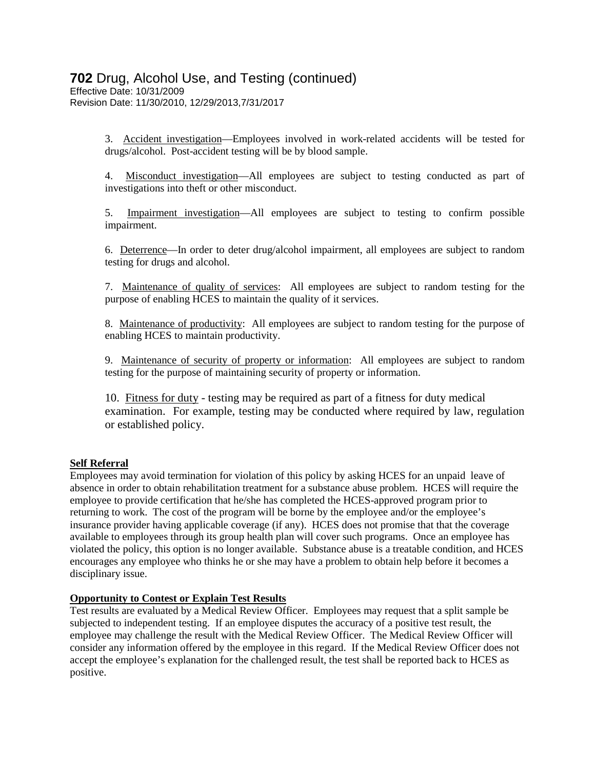## **702** Drug, Alcohol Use, and Testing (continued)

Effective Date: 10/31/2009 Revision Date: 11/30/2010, 12/29/2013,7/31/2017

> 3. Accident investigation—Employees involved in work-related accidents will be tested for drugs/alcohol. Post-accident testing will be by blood sample.

> 4. Misconduct investigation—All employees are subject to testing conducted as part of investigations into theft or other misconduct.

> 5. Impairment investigation—All employees are subject to testing to confirm possible impairment.

> 6. Deterrence—In order to deter drug/alcohol impairment, all employees are subject to random testing for drugs and alcohol.

> 7. Maintenance of quality of services: All employees are subject to random testing for the purpose of enabling HCES to maintain the quality of it services.

> 8. Maintenance of productivity: All employees are subject to random testing for the purpose of enabling HCES to maintain productivity.

> 9. Maintenance of security of property or information: All employees are subject to random testing for the purpose of maintaining security of property or information.

> 10. Fitness for duty - testing may be required as part of a fitness for duty medical examination. For example, testing may be conducted where required by law, regulation or established policy.

### **Self Referral**

Employees may avoid termination for violation of this policy by asking HCES for an unpaid leave of absence in order to obtain rehabilitation treatment for a substance abuse problem. HCES will require the employee to provide certification that he/she has completed the HCES-approved program prior to returning to work. The cost of the program will be borne by the employee and/or the employee's insurance provider having applicable coverage (if any). HCES does not promise that that the coverage available to employees through its group health plan will cover such programs. Once an employee has violated the policy, this option is no longer available. Substance abuse is a treatable condition, and HCES encourages any employee who thinks he or she may have a problem to obtain help before it becomes a disciplinary issue.

### **Opportunity to Contest or Explain Test Results**

Test results are evaluated by a Medical Review Officer. Employees may request that a split sample be subjected to independent testing. If an employee disputes the accuracy of a positive test result, the employee may challenge the result with the Medical Review Officer. The Medical Review Officer will consider any information offered by the employee in this regard. If the Medical Review Officer does not accept the employee's explanation for the challenged result, the test shall be reported back to HCES as positive.